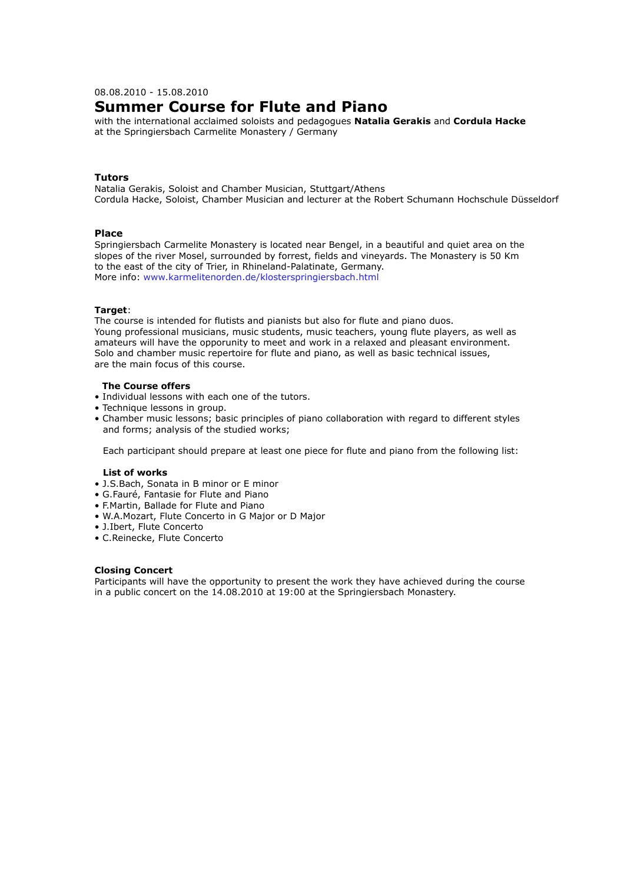08.08.2010 - 15.08.2010

# **Summer Course for Flute and Piano**

with the international acclaimed soloists and pedagogues **Natalia Gerakis** and **Cordula Hacke** at the Springiersbach Carmelite Monastery / Germany

## **Tutors**

Natalia Gerakis, Soloist and Chamber Musician, Stuttgart/Athens Cordula Hacke, Soloist, Chamber Musician and lecturer at the Robert Schumann Hochschule Düsseldorf

# **Place**

Springiersbach Carmelite Monastery is located near Bengel, in a beautiful and quiet area on the slopes of the river Mosel, surrounded by forrest, fields and vineyards. The Monastery is 50 Km to the east of the city of Trier, in Rhineland-Palatinate, Germany. More info: www.karmelitenorden.de/klosterspringiersbach.html

#### **Target**:

The course is intended for flutists and pianists but also for flute and piano duos. Young professional musicians, music students, music teachers, young flute players, as well as amateurs will have the opporunity to meet and work in a relaxed and pleasant environment. Solo and chamber music repertoire for flute and piano, as well as basic technical issues, are the main focus of this course.

# **The Course offers**

- Individual lessons with each one of the tutors.
- Technique lessons in group.
- Chamber music lessons; basic principles of piano collaboration with regard to different styles and forms; analysis of the studied works;

Each participant should prepare at least one piece for flute and piano from the following list:

#### **List of works**

- J.S.Bach, Sonata in B minor or E minor
- G.Fauré, Fantasie for Flute and Piano
- F.Martin, Ballade for Flute and Piano
- W.A.Mozart, Flute Concerto in G Major or D Major
- J.Ibert, Flute Concerto
- C.Reinecke, Flute Concerto

#### **Closing Concert**

Participants will have the opportunity to present the work they have achieved during the course in a public concert on the 14.08.2010 at 19:00 at the Springiersbach Monastery.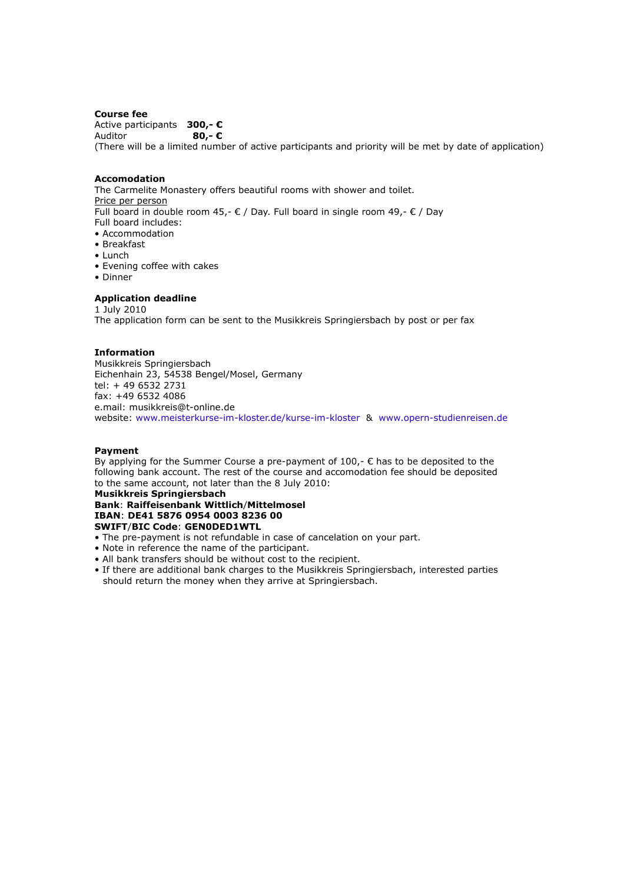#### **Course fee**

Active participants **300,- €** Auditor **80,- €** (There will be a limited number of active participants and priority will be met by date of application)

## **Accomodation**

The Carmelite Monastery offers beautiful rooms with shower and toilet. Price per person Full board in double room 45,- € / Day. Full board in single room 49,-  $∈$  / Day Full board includes: • Accommodation • Breakfast

- Lunch
- Evening coffee with cakes
- Dinner

# **Application deadline**

1 July 2010 The application form can be sent to the Musikkreis Springiersbach by post or per fax

## **Information**

Musikkreis Springiersbach Eichenhain 23, 54538 Bengel/Mosel, Germany tel: + 49 6532 2731 fax: +49 6532 4086 e.mail: musikkreis@t-online.de website: www.meisterkurse-im-kloster.de/kurse-im-kloster & www.opern-studienreisen.de

## **Payment**

By applying for the Summer Course a pre-payment of  $100<sub>r</sub> \epsilon$  has to be deposited to the following bank account. The rest of the course and accomodation fee should be deposited to the same account, not later than the 8 July 2010:

#### **Musikkreis Springiersbach Bank**: **Raiffeisenbank Wittlich**/**Mittelmosel IBAN**: **DE41 5876 0954 0003 8236 00 SWIFT**/**BIC Code**: **GEN0DED1WTL**

- The pre-payment is not refundable in case of cancelation on your part.
- Note in reference the name of the participant.
- All bank transfers should be without cost to the recipient.
- If there are additional bank charges to the Musikkreis Springiersbach, interested parties should return the money when they arrive at Springiersbach.